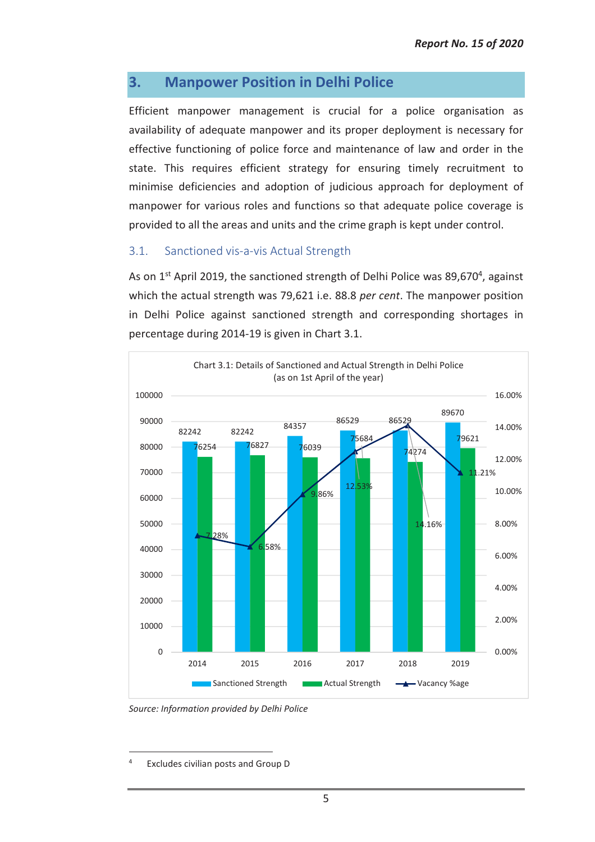# **3. Manpower Position in Delhi Police**

Efficient manpower management is crucial for a police organisation as availability of adequate manpower and its proper deployment is necessary for effective functioning of police force and maintenance of law and order in the state. This requires efficient strategy for ensuring timely recruitment to minimise deficiencies and adoption of judicious approach for deployment of manpower for various roles and functions so that adequate police coverage is provided to all the areas and units and the crime graph is kept under control.

### 3.1. Sanctioned vis-a-vis Actual Strength

As on 1<sup>st</sup> April 2019, the sanctioned strength of Delhi Police was 89,670<sup>4</sup>, against which the actual strength was 79,621 i.e. 88.8 *per cent*. The manpower position in Delhi Police against sanctioned strength and corresponding shortages in percentage during 2014-19 is given in Chart 3.1.



*Source: Information provided by Delhi Police* 

<sup>4</sup> Excludes civilian posts and Group D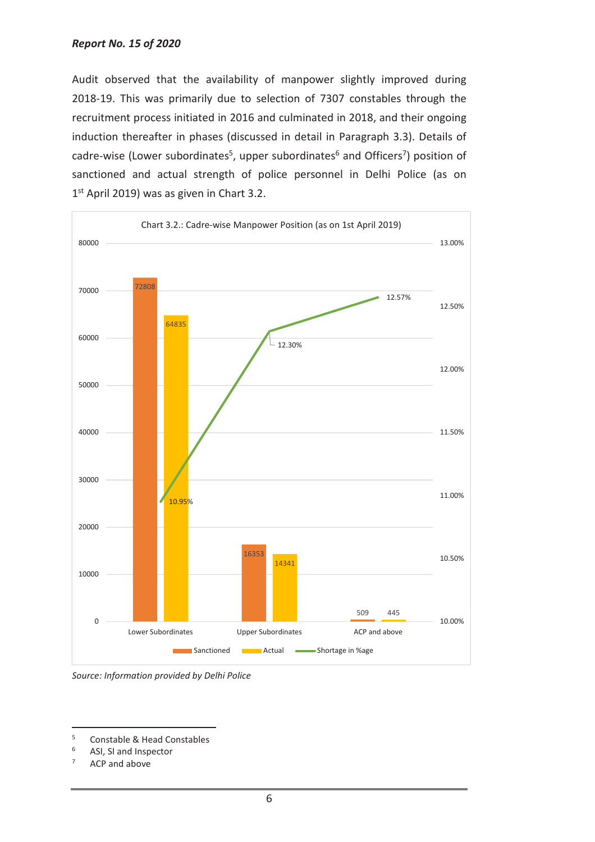Audit observed that the availability of manpower slightly improved during 2018-19. This was primarily due to selection of 7307 constables through the recruitment process initiated in 2016 and culminated in 2018, and their ongoing induction thereafter in phases (discussed in detail in Paragraph 3.3). Details of cadre-wise (Lower subordinates<sup>5</sup>, upper subordinates<sup>6</sup> and Officers<sup>7</sup>) position of sanctioned and actual strength of police personnel in Delhi Police (as on 1<sup>st</sup> April 2019) was as given in Chart 3.2.



*Source: Information provided by Delhi Police* 

<sup>5</sup> Constable & Head Constables

<sup>6</sup> ASI, SI and Inspector

<sup>7</sup> ACP and above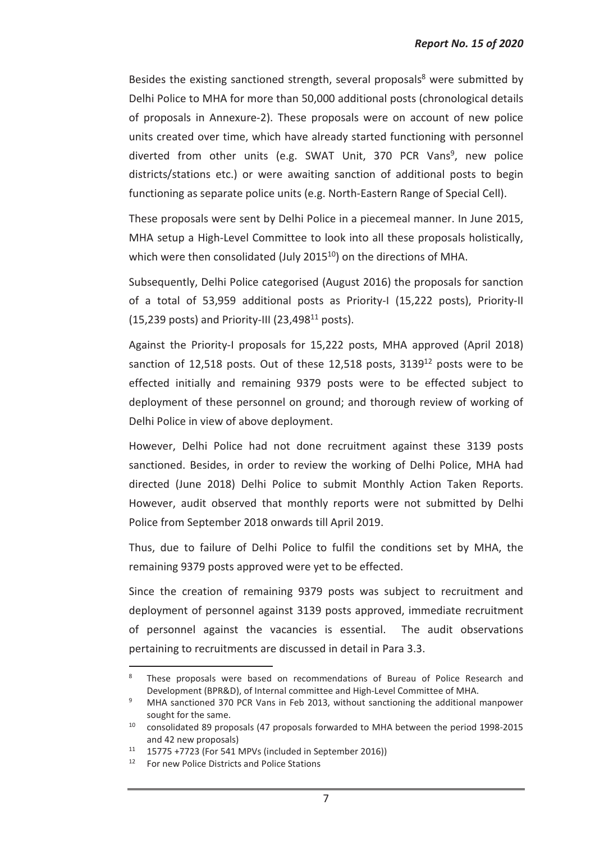Besides the existing sanctioned strength, several proposals<sup>8</sup> were submitted by Delhi Police to MHA for more than 50,000 additional posts (chronological details of proposals in Annexure-2). These proposals were on account of new police units created over time, which have already started functioning with personnel diverted from other units (e.g. SWAT Unit, 370 PCR Vans<sup>9</sup>, new police districts/stations etc.) or were awaiting sanction of additional posts to begin functioning as separate police units (e.g. North-Eastern Range of Special Cell).

These proposals were sent by Delhi Police in a piecemeal manner. In June 2015, MHA setup a High-Level Committee to look into all these proposals holistically, which were then consolidated (July 2015<sup>10</sup>) on the directions of MHA.

Subsequently, Delhi Police categorised (August 2016) the proposals for sanction of a total of 53,959 additional posts as Priority-I (15,222 posts), Priority-II (15,239 posts) and Priority-III (23,498 $^{11}$  posts).

Against the Priority-I proposals for 15,222 posts, MHA approved (April 2018) sanction of 12,518 posts. Out of these 12,518 posts, 3139<sup>12</sup> posts were to be effected initially and remaining 9379 posts were to be effected subject to deployment of these personnel on ground; and thorough review of working of Delhi Police in view of above deployment.

However, Delhi Police had not done recruitment against these 3139 posts sanctioned. Besides, in order to review the working of Delhi Police, MHA had directed (June 2018) Delhi Police to submit Monthly Action Taken Reports. However, audit observed that monthly reports were not submitted by Delhi Police from September 2018 onwards till April 2019.

Thus, due to failure of Delhi Police to fulfil the conditions set by MHA, the remaining 9379 posts approved were yet to be effected.

Since the creation of remaining 9379 posts was subject to recruitment and deployment of personnel against 3139 posts approved, immediate recruitment of personnel against the vacancies is essential. The audit observations pertaining to recruitments are discussed in detail in Para 3.3.

<sup>8</sup> These proposals were based on recommendations of Bureau of Police Research and Development (BPR&D), of Internal committee and High-Level Committee of MHA.

<sup>9</sup> MHA sanctioned 370 PCR Vans in Feb 2013, without sanctioning the additional manpower sought for the same.

 $10$  consolidated 89 proposals (47 proposals forwarded to MHA between the period 1998-2015 and 42 new proposals)

 $11$  15775 +7723 (For 541 MPVs (included in September 2016))

<sup>&</sup>lt;sup>12</sup> For new Police Districts and Police Stations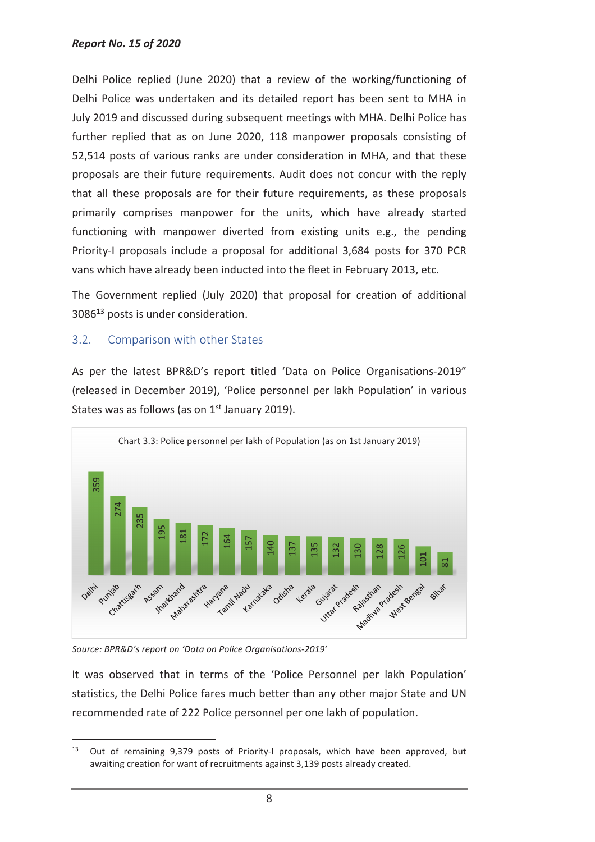#### *Report No. 15 of 2020*

Delhi Police replied (June 2020) that a review of the working/functioning of Delhi Police was undertaken and its detailed report has been sent to MHA in July 2019 and discussed during subsequent meetings with MHA. Delhi Police has further replied that as on June 2020, 118 manpower proposals consisting of 52,514 posts of various ranks are under consideration in MHA, and that these proposals are their future requirements. Audit does not concur with the reply that all these proposals are for their future requirements, as these proposals primarily comprises manpower for the units, which have already started functioning with manpower diverted from existing units e.g., the pending Priority-I proposals include a proposal for additional 3,684 posts for 370 PCR vans which have already been inducted into the fleet in February 2013, etc.

The Government replied (July 2020) that proposal for creation of additional 3086<sup>13</sup> posts is under consideration.

## 3.2. Comparison with other States

As per the latest BPR&D's report titled 'Data on Police Organisations-2019" (released in December 2019), 'Police personnel per lakh Population' in various States was as follows (as on  $1<sup>st</sup>$  January 2019).



*Source: BPR&D's report on 'Data on Police Organisations-2019'* 

 $\overline{a}$ 

It was observed that in terms of the 'Police Personnel per lakh Population' statistics, the Delhi Police fares much better than any other major State and UN recommended rate of 222 Police personnel per one lakh of population.

 $13$  Out of remaining 9,379 posts of Priority-I proposals, which have been approved, but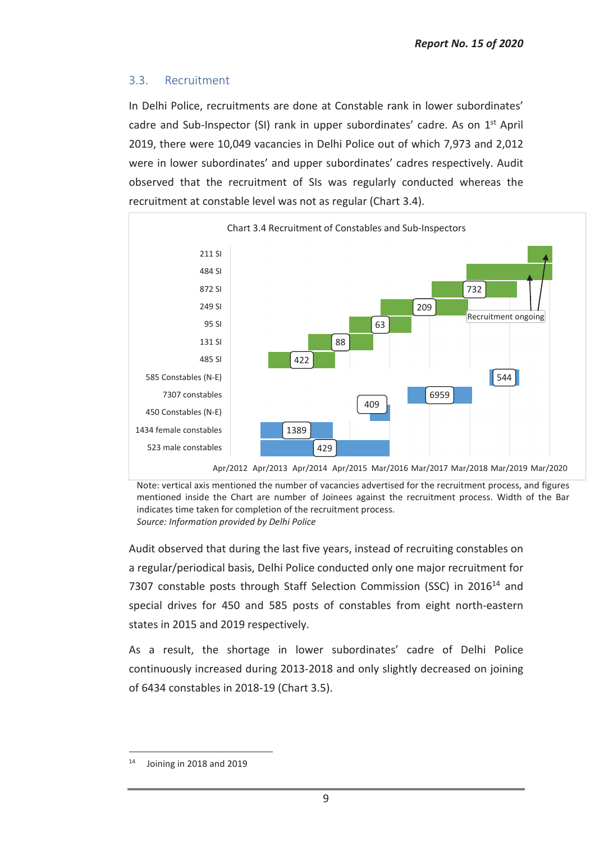# 3.3. Recruitment

In Delhi Police, recruitments are done at Constable rank in lower subordinates' cadre and Sub-Inspector (SI) rank in upper subordinates' cadre. As on 1st April 2019, there were 10,049 vacancies in Delhi Police out of which 7,973 and 2,012 were in lower subordinates' and upper subordinates' cadres respectively. Audit observed that the recruitment of SIs was regularly conducted whereas the recruitment at constable level was not as regular (Chart 3.4).



Note: vertical axis mentioned the number of vacancies advertised for the recruitment process, and figures mentioned inside the Chart are number of Joinees against the recruitment process. Width of the Bar indicates time taken for completion of the recruitment process. *Source: Information provided by Delhi Police*

Audit observed that during the last five years, instead of recruiting constables on a regular/periodical basis, Delhi Police conducted only one major recruitment for 7307 constable posts through Staff Selection Commission (SSC) in 2016<sup>14</sup> and special drives for 450 and 585 posts of constables from eight north-eastern states in 2015 and 2019 respectively.

As a result, the shortage in lower subordinates' cadre of Delhi Police continuously increased during 2013-2018 and only slightly decreased on joining of 6434 constables in 2018-19 (Chart 3.5).

 $14$  Joining in 2018 and 2019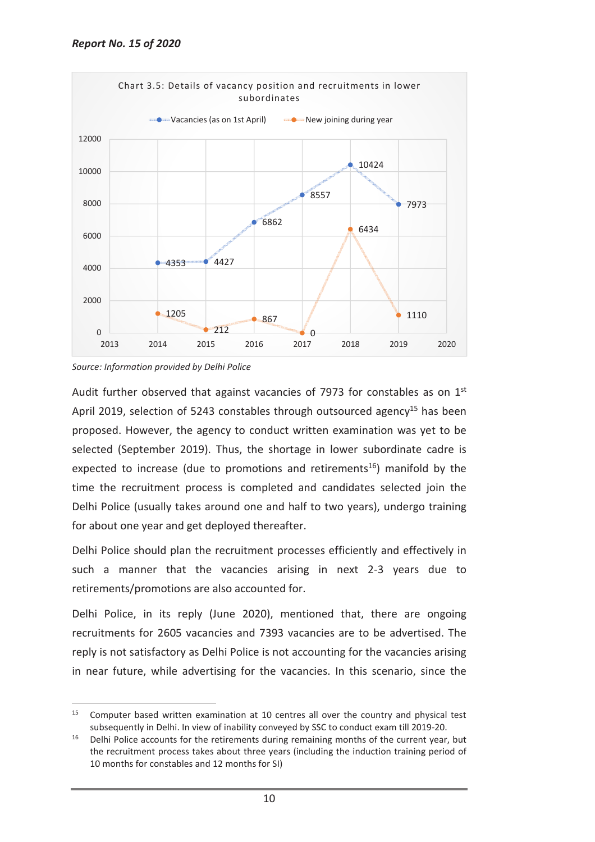

*Source: Information provided by Delhi Police* 

 $\overline{a}$ 

Audit further observed that against vacancies of 7973 for constables as on  $1<sup>st</sup>$ April 2019, selection of 5243 constables through outsourced agency<sup>15</sup> has been proposed. However, the agency to conduct written examination was yet to be selected (September 2019). Thus, the shortage in lower subordinate cadre is expected to increase (due to promotions and retirements<sup>16</sup>) manifold by the time the recruitment process is completed and candidates selected join the Delhi Police (usually takes around one and half to two years), undergo training for about one year and get deployed thereafter.

Delhi Police should plan the recruitment processes efficiently and effectively in such a manner that the vacancies arising in next 2-3 years due to retirements/promotions are also accounted for.

Delhi Police, in its reply (June 2020), mentioned that, there are ongoing recruitments for 2605 vacancies and 7393 vacancies are to be advertised. The reply is not satisfactory as Delhi Police is not accounting for the vacancies arising in near future, while advertising for the vacancies. In this scenario, since the

<sup>&</sup>lt;sup>15</sup> Computer based written examination at 10 centres all over the country and physical test subsequently in Delhi. In view of inability conveyed by SSC to conduct exam till 2019-20.

<sup>&</sup>lt;sup>16</sup> Delhi Police accounts for the retirements during remaining months of the current year, but the recruitment process takes about three years (including the induction training period of 10 months for constables and 12 months for SI)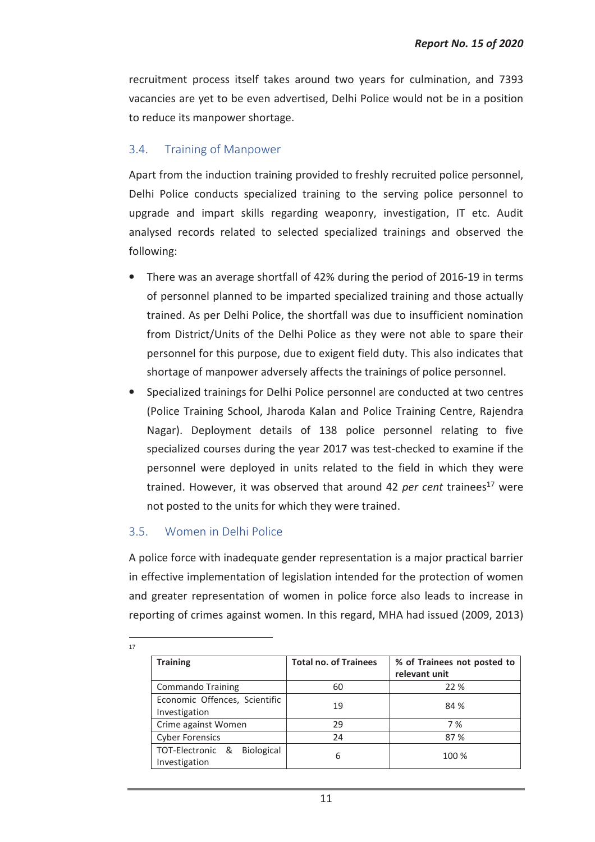recruitment process itself takes around two years for culmination, and 7393 vacancies are yet to be even advertised, Delhi Police would not be in a position to reduce its manpower shortage.

# 3.4. Training of Manpower

Apart from the induction training provided to freshly recruited police personnel, Delhi Police conducts specialized training to the serving police personnel to upgrade and impart skills regarding weaponry, investigation, IT etc. Audit analysed records related to selected specialized trainings and observed the following:

- There was an average shortfall of 42% during the period of 2016-19 in terms of personnel planned to be imparted specialized training and those actually trained. As per Delhi Police, the shortfall was due to insufficient nomination from District/Units of the Delhi Police as they were not able to spare their personnel for this purpose, due to exigent field duty. This also indicates that shortage of manpower adversely affects the trainings of police personnel.
- Specialized trainings for Delhi Police personnel are conducted at two centres (Police Training School, Jharoda Kalan and Police Training Centre, Rajendra Nagar). Deployment details of 138 police personnel relating to five specialized courses during the year 2017 was test-checked to examine if the personnel were deployed in units related to the field in which they were trained. However, it was observed that around 42 *per cent* trainees<sup>17</sup> were not posted to the units for which they were trained.

# 3.5. Women in Delhi Police

A police force with inadequate gender representation is a major practical barrier in effective implementation of legislation intended for the protection of women and greater representation of women in police force also leads to increase in reporting of crimes against women. In this regard, MHA had issued (2009, 2013)

| <b>Training</b>                                        | <b>Total no. of Trainees</b> | % of Trainees not posted to<br>relevant unit |
|--------------------------------------------------------|------------------------------|----------------------------------------------|
| <b>Commando Training</b>                               | 60                           | 22 %                                         |
| Economic Offences, Scientific<br>Investigation         | 19                           | 84 %                                         |
| Crime against Women                                    | 29                           | 7%                                           |
| <b>Cyber Forensics</b>                                 | 24                           | 87%                                          |
| TOT-Electronic &<br><b>Biological</b><br>Investigation | 6                            | 100 %                                        |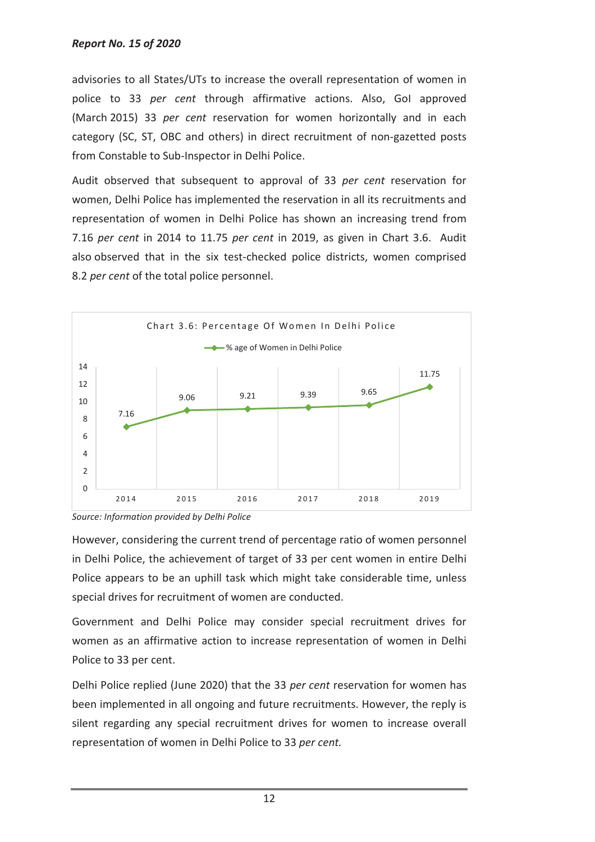advisories to all States/UTs to increase the overall representation of women in police to 33 *per cent* through affirmative actions. Also, GoI approved (March 2015) 33 *per cent* reservation for women horizontally and in each category (SC, ST, OBC and others) in direct recruitment of non-gazetted posts from Constable to Sub-Inspector in Delhi Police.

Audit observed that subsequent to approval of 33 *per cent* reservation for women, Delhi Police has implemented the reservation in all its recruitments and representation of women in Delhi Police has shown an increasing trend from 7.16 *per cent* in 2014 to 11.75 *per cent* in 2019, as given in Chart 3.6. Audit also observed that in the six test-checked police districts, women comprised 8.2 *per cent* of the total police personnel.





However, considering the current trend of percentage ratio of women personnel in Delhi Police, the achievement of target of 33 per cent women in entire Delhi Police appears to be an uphill task which might take considerable time, unless special drives for recruitment of women are conducted.

Government and Delhi Police may consider special recruitment drives for women as an affirmative action to increase representation of women in Delhi Police to 33 per cent.

Delhi Police replied (June 2020) that the 33 *per cent* reservation for women has been implemented in all ongoing and future recruitments. However, the reply is silent regarding any special recruitment drives for women to increase overall representation of women in Delhi Police to 33 *per cent.*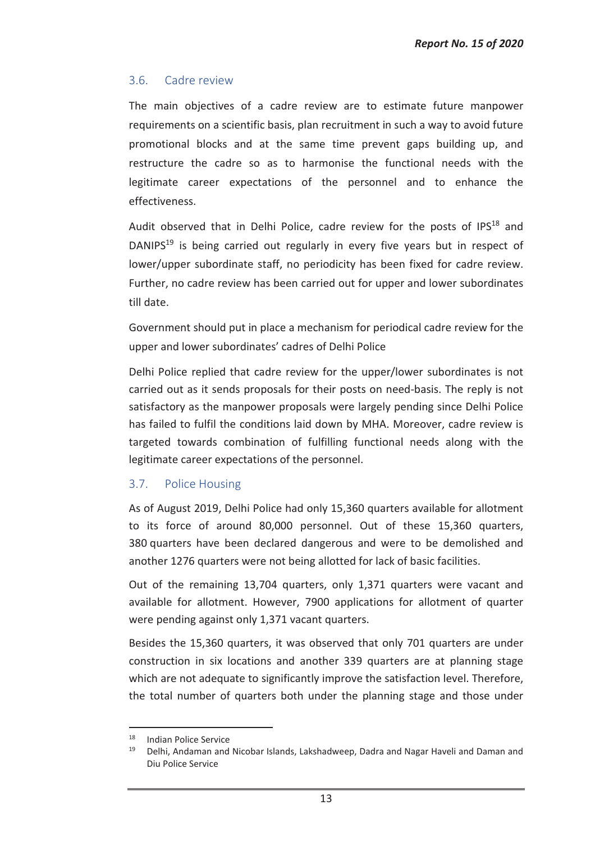### 3.6. Cadre review

The main objectives of a cadre review are to estimate future manpower requirements on a scientific basis, plan recruitment in such a way to avoid future promotional blocks and at the same time prevent gaps building up, and restructure the cadre so as to harmonise the functional needs with the legitimate career expectations of the personnel and to enhance the effectiveness.

Audit observed that in Delhi Police, cadre review for the posts of IPS<sup>18</sup> and DANIPS<sup>19</sup> is being carried out regularly in every five years but in respect of lower/upper subordinate staff, no periodicity has been fixed for cadre review. Further, no cadre review has been carried out for upper and lower subordinates till date.

Government should put in place a mechanism for periodical cadre review for the upper and lower subordinates' cadres of Delhi Police

Delhi Police replied that cadre review for the upper/lower subordinates is not carried out as it sends proposals for their posts on need-basis. The reply is not satisfactory as the manpower proposals were largely pending since Delhi Police has failed to fulfil the conditions laid down by MHA. Moreover, cadre review is targeted towards combination of fulfilling functional needs along with the legitimate career expectations of the personnel.

### 3.7. Police Housing

As of August 2019, Delhi Police had only 15,360 quarters available for allotment to its force of around 80,000 personnel. Out of these 15,360 quarters, 380 quarters have been declared dangerous and were to be demolished and another 1276 quarters were not being allotted for lack of basic facilities.

Out of the remaining 13,704 quarters, only 1,371 quarters were vacant and available for allotment. However, 7900 applications for allotment of quarter were pending against only 1,371 vacant quarters.

Besides the 15,360 quarters, it was observed that only 701 quarters are under construction in six locations and another 339 quarters are at planning stage which are not adequate to significantly improve the satisfaction level. Therefore, the total number of quarters both under the planning stage and those under

<sup>18</sup> Indian Police Service

<sup>19</sup> Delhi, Andaman and Nicobar Islands, Lakshadweep, Dadra and Nagar Haveli and Daman and Diu Police Service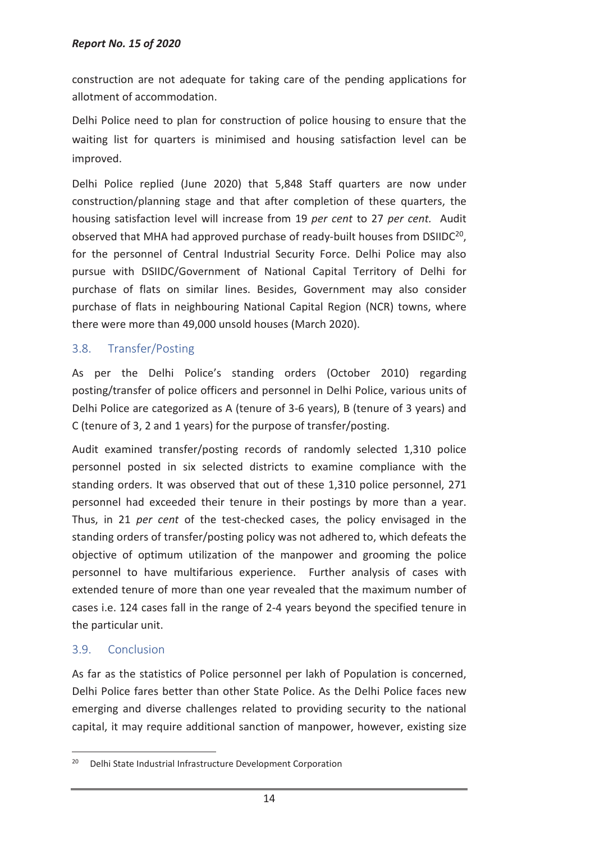construction are not adequate for taking care of the pending applications for allotment of accommodation.

Delhi Police need to plan for construction of police housing to ensure that the waiting list for quarters is minimised and housing satisfaction level can be improved.

Delhi Police replied (June 2020) that 5,848 Staff quarters are now under construction/planning stage and that after completion of these quarters, the housing satisfaction level will increase from 19 *per cent* to 27 *per cent.* Audit observed that MHA had approved purchase of ready-built houses from DSIIDC<sup>20</sup>, for the personnel of Central Industrial Security Force. Delhi Police may also pursue with DSIIDC/Government of National Capital Territory of Delhi for purchase of flats on similar lines. Besides, Government may also consider purchase of flats in neighbouring National Capital Region (NCR) towns, where there were more than 49,000 unsold houses (March 2020).

# 3.8. Transfer/Posting

As per the Delhi Police's standing orders (October 2010) regarding posting/transfer of police officers and personnel in Delhi Police, various units of Delhi Police are categorized as A (tenure of 3-6 years), B (tenure of 3 years) and C (tenure of 3, 2 and 1 years) for the purpose of transfer/posting.

Audit examined transfer/posting records of randomly selected 1,310 police personnel posted in six selected districts to examine compliance with the standing orders. It was observed that out of these 1,310 police personnel, 271 personnel had exceeded their tenure in their postings by more than a year. Thus, in 21 *per cent* of the test-checked cases, the policy envisaged in the standing orders of transfer/posting policy was not adhered to, which defeats the objective of optimum utilization of the manpower and grooming the police personnel to have multifarious experience. Further analysis of cases with extended tenure of more than one year revealed that the maximum number of cases i.e. 124 cases fall in the range of 2-4 years beyond the specified tenure in the particular unit.

## 3.9. Conclusion

 $\overline{a}$ 

As far as the statistics of Police personnel per lakh of Population is concerned, Delhi Police fares better than other State Police. As the Delhi Police faces new emerging and diverse challenges related to providing security to the national capital, it may require additional sanction of manpower, however, existing size

<sup>20</sup> Delhi State Industrial Infrastructure Development Corporation